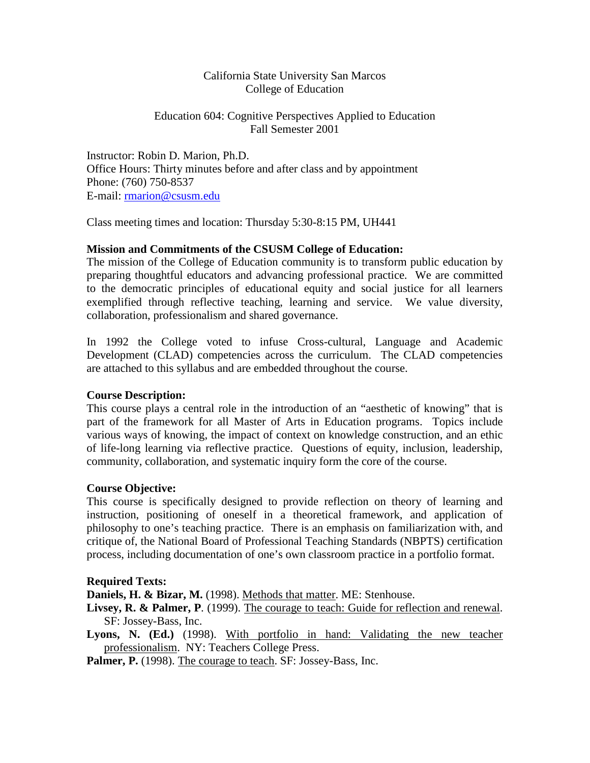## California State University San Marcos College of Education

## Education 604: Cognitive Perspectives Applied to Education Fall Semester 2001

Instructor: Robin D. Marion, Ph.D. Office Hours: Thirty minutes before and after class and by appointment Phone: (760) 750-8537 E-mail: [rmarion@csusm.edu](mailto:rmarion@csusm.edu)

Class meeting times and location: Thursday 5:30-8:15 PM, UH441

## **Mission and Commitments of the CSUSM College of Education:**

The mission of the College of Education community is to transform public education by preparing thoughtful educators and advancing professional practice. We are committed to the democratic principles of educational equity and social justice for all learners exemplified through reflective teaching, learning and service. We value diversity, collaboration, professionalism and shared governance.

In 1992 the College voted to infuse Cross-cultural, Language and Academic Development (CLAD) competencies across the curriculum. The CLAD competencies are attached to this syllabus and are embedded throughout the course.

## **Course Description:**

This course plays a central role in the introduction of an "aesthetic of knowing" that is part of the framework for all Master of Arts in Education programs. Topics include various ways of knowing, the impact of context on knowledge construction, and an ethic of life-long learning via reflective practice. Questions of equity, inclusion, leadership, community, collaboration, and systematic inquiry form the core of the course.

## **Course Objective:**

This course is specifically designed to provide reflection on theory of learning and instruction, positioning of oneself in a theoretical framework, and application of philosophy to one's teaching practice. There is an emphasis on familiarization with, and critique of, the National Board of Professional Teaching Standards (NBPTS) certification process, including documentation of one's own classroom practice in a portfolio format.

#### **Required Texts:**

**Daniels, H. & Bizar, M.** (1998). Methods that matter. ME: Stenhouse.

- **Livsey, R. & Palmer, P**. (1999). The courage to teach: Guide for reflection and renewal. SF: Jossey-Bass, Inc.
- **Lyons, N. (Ed.)** (1998). With portfolio in hand: Validating the new teacher professionalism. NY: Teachers College Press.

**Palmer, P.** (1998). The courage to teach. SF: Jossey-Bass, Inc.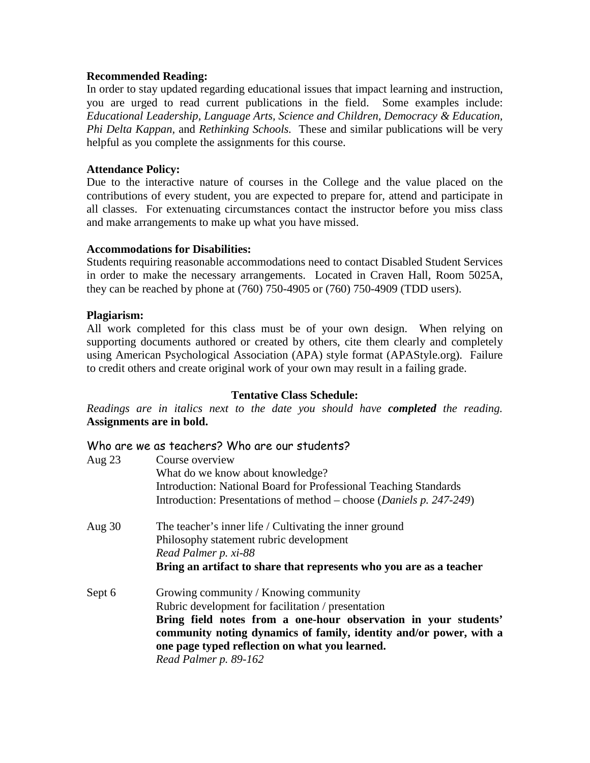#### **Recommended Reading:**

In order to stay updated regarding educational issues that impact learning and instruction, you are urged to read current publications in the field. Some examples include: *Educational Leadership, Language Arts, Science and Children, Democracy & Education, Phi Delta Kappan,* and *Rethinking Schools.* These and similar publications will be very helpful as you complete the assignments for this course.

## **Attendance Policy:**

Due to the interactive nature of courses in the College and the value placed on the contributions of every student, you are expected to prepare for, attend and participate in all classes. For extenuating circumstances contact the instructor before you miss class and make arrangements to make up what you have missed.

#### **Accommodations for Disabilities:**

Students requiring reasonable accommodations need to contact Disabled Student Services in order to make the necessary arrangements. Located in Craven Hall, Room 5025A, they can be reached by phone at (760) 750-4905 or (760) 750-4909 (TDD users).

#### **Plagiarism:**

All work completed for this class must be of your own design. When relying on supporting documents authored or created by others, cite them clearly and completely using American Psychological Association (APA) style format (APAStyle.org). Failure to credit others and create original work of your own may result in a failing grade.

#### **Tentative Class Schedule:**

*Readings are in italics next to the date you should have completed the reading.*  **Assignments are in bold.**

## Who are we as teachers? Who are our students?

| Aug $23$ | Course overview                                                                                                                       |
|----------|---------------------------------------------------------------------------------------------------------------------------------------|
|          | What do we know about knowledge?                                                                                                      |
|          | Introduction: National Board for Professional Teaching Standards                                                                      |
|          | Introduction: Presentations of method – choose ( <i>Daniels p. 247-249</i> )                                                          |
| Aug $30$ | The teacher's inner life / Cultivating the inner ground                                                                               |
|          | Philosophy statement rubric development                                                                                               |
|          | Read Palmer p. xi-88                                                                                                                  |
|          | Bring an artifact to share that represents who you are as a teacher                                                                   |
| Sept 6   | Growing community / Knowing community                                                                                                 |
|          | Rubric development for facilitation / presentation                                                                                    |
|          | Bring field notes from a one-hour observation in your students'<br>community noting dynamics of family, identity and/or power, with a |
|          | one page typed reflection on what you learned.                                                                                        |
|          | Read Palmer p. 89-162                                                                                                                 |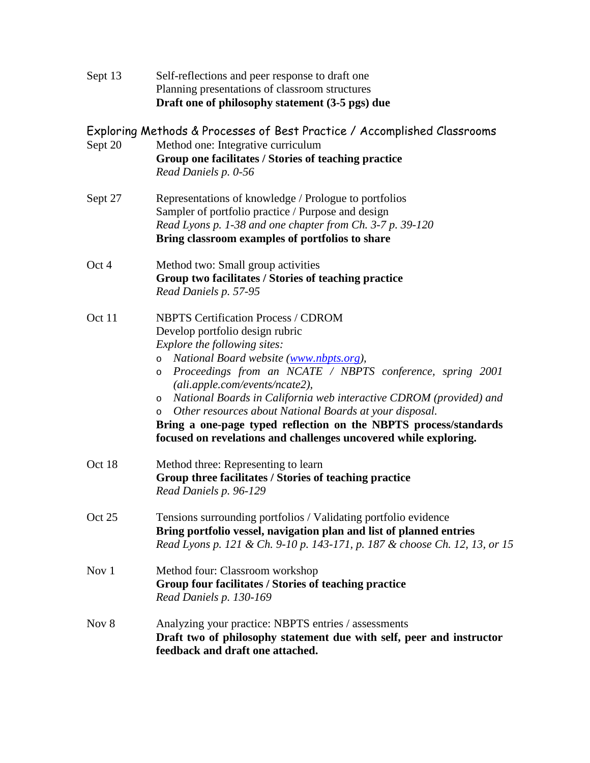| Sept 13 | Self-reflections and peer response to draft one<br>Planning presentations of classroom structures<br>Draft one of philosophy statement (3-5 pgs) due                                                                                                                                                                                                                                                                                                                                                                                                                         |
|---------|------------------------------------------------------------------------------------------------------------------------------------------------------------------------------------------------------------------------------------------------------------------------------------------------------------------------------------------------------------------------------------------------------------------------------------------------------------------------------------------------------------------------------------------------------------------------------|
| Sept 20 | Exploring Methods & Processes of Best Practice / Accomplished Classrooms<br>Method one: Integrative curriculum<br>Group one facilitates / Stories of teaching practice<br>Read Daniels p. 0-56                                                                                                                                                                                                                                                                                                                                                                               |
| Sept 27 | Representations of knowledge / Prologue to portfolios<br>Sampler of portfolio practice / Purpose and design<br>Read Lyons p. 1-38 and one chapter from Ch. 3-7 p. 39-120<br>Bring classroom examples of portfolios to share                                                                                                                                                                                                                                                                                                                                                  |
| Oct 4   | Method two: Small group activities<br>Group two facilitates / Stories of teaching practice<br>Read Daniels p. 57-95                                                                                                                                                                                                                                                                                                                                                                                                                                                          |
| Oct 11  | <b>NBPTS Certification Process / CDROM</b><br>Develop portfolio design rubric<br>Explore the following sites:<br>National Board website (www.nbpts.org),<br>$\circ$<br>Proceedings from an NCATE / NBPTS conference, spring 2001<br>$\circ$<br>(ali.apple.com/events/ncate2),<br>National Boards in California web interactive CDROM (provided) and<br>$\circ$<br>Other resources about National Boards at your disposal.<br>$\circ$<br>Bring a one-page typed reflection on the NBPTS process/standards<br>focused on revelations and challenges uncovered while exploring. |
| Oct 18  | Method three: Representing to learn<br>Group three facilitates / Stories of teaching practice<br>Read Daniels p. 96-129                                                                                                                                                                                                                                                                                                                                                                                                                                                      |
| Oct 25  | Tensions surrounding portfolios / Validating portfolio evidence<br>Bring portfolio vessel, navigation plan and list of planned entries<br>Read Lyons p. 121 & Ch. 9-10 p. 143-171, p. 187 & choose Ch. 12, 13, or 15                                                                                                                                                                                                                                                                                                                                                         |
| Nov 1   | Method four: Classroom workshop<br>Group four facilitates / Stories of teaching practice<br>Read Daniels p. 130-169                                                                                                                                                                                                                                                                                                                                                                                                                                                          |
| Nov 8   | Analyzing your practice: NBPTS entries / assessments<br>Draft two of philosophy statement due with self, peer and instructor<br>feedback and draft one attached.                                                                                                                                                                                                                                                                                                                                                                                                             |